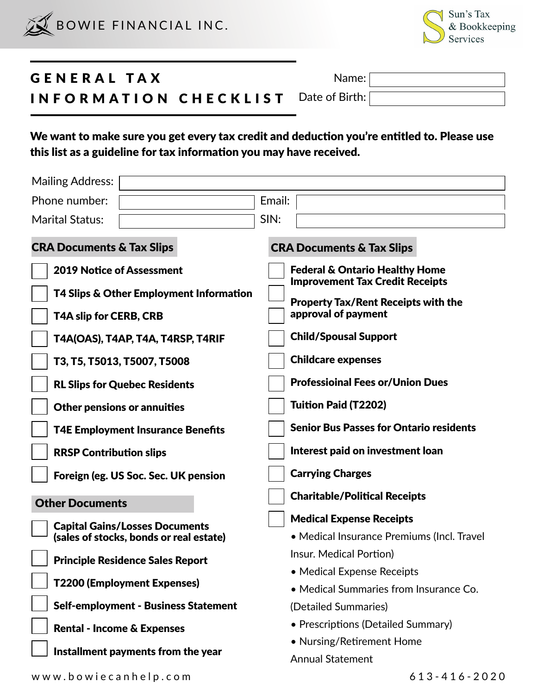



## GENERAL TAX INFORMATION CHECKLIST Date of Birth: Name:

We want to make sure you get every tax credit and deduction you're entitled to. Please use this list as a guideline for tax information you may have received.

| <b>Mailing Address:</b>                                                     |                                                                                     |
|-----------------------------------------------------------------------------|-------------------------------------------------------------------------------------|
| Phone number:                                                               | Email:                                                                              |
| <b>Marital Status:</b>                                                      | SIN:                                                                                |
| <b>CRA Documents &amp; Tax Slips</b>                                        | <b>CRA Documents &amp; Tax Slips</b>                                                |
| <b>2019 Notice of Assessment</b><br>T4 Slips & Other Employment Information | <b>Federal &amp; Ontario Healthy Home</b><br><b>Improvement Tax Credit Receipts</b> |
| T4A slip for CERB, CRB                                                      | <b>Property Tax/Rent Receipts with the</b><br>approval of payment                   |
| T4A(OAS), T4AP, T4A, T4RSP, T4RIF                                           | <b>Child/Spousal Support</b>                                                        |
| T3, T5, T5013, T5007, T5008                                                 | <b>Childcare expenses</b>                                                           |
| <b>RL Slips for Quebec Residents</b>                                        | <b>Professioinal Fees or/Union Dues</b>                                             |
| <b>Other pensions or annuities</b>                                          | <b>Tuition Paid (T2202)</b>                                                         |
| <b>T4E Employment Insurance Benefits</b>                                    | <b>Senior Bus Passes for Ontario residents</b>                                      |
| <b>RRSP Contribution slips</b>                                              | Interest paid on investment loan                                                    |
| Foreign (eg. US Soc. Sec. UK pension                                        | <b>Carrying Charges</b>                                                             |
| <b>Other Documents</b>                                                      | <b>Charitable/Political Receipts</b>                                                |
| <b>Capital Gains/Losses Documents</b>                                       | <b>Medical Expense Receipts</b>                                                     |
| (sales of stocks, bonds or real estate)                                     | • Medical Insurance Premiums (Incl. Travel                                          |
| <b>Principle Residence Sales Report</b>                                     | Insur. Medical Portion)                                                             |
| <b>T2200 (Employment Expenses)</b>                                          | • Medical Expense Receipts                                                          |
| <b>Self-employment - Business Statement</b>                                 | • Medical Summaries from Insurance Co.<br>(Detailed Summaries)                      |
|                                                                             | • Prescriptions (Detailed Summary)                                                  |
| <b>Rental - Income &amp; Expenses</b>                                       | • Nursing/Retirement Home                                                           |
| Installment payments from the year                                          | <b>Annual Statement</b>                                                             |
| www.bowiecanhelp.com                                                        | 613-416-2020                                                                        |